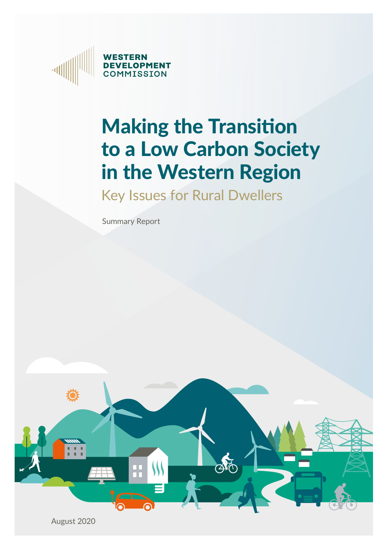

# Making the Transition to a Low Carbon Society in the Western Region

Key Issues for Rural Dwellers

Summary Report

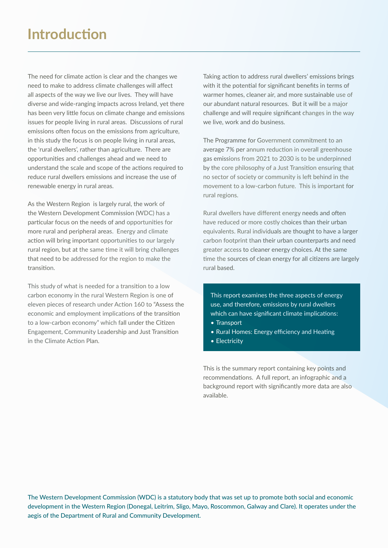The need for climate action is clear and the changes we need to make to address climate challenges will affect all aspects of the way we live our lives. They will have diverse and wide-ranging impacts across Ireland, yet there has been very little focus on climate change and emissions issues for people living in rural areas. Discussions of rural emissions often focus on the emissions from agriculture, in this study the focus is on people living in rural areas, the 'rural dwellers', rather than agriculture. There are opportunities and challenges ahead and we need to understand the scale and scope of the actions required to reduce rural dwellers emissions and increase the use of renewable energy in rural areas.

As the Western Region is largely rural, the work of the Western Development Commission (WDC) has a particular focus on the needs of and opportunities for more rural and peripheral areas. Energy and climate action will bring important opportunities to our largely rural region, but at the same time it will bring challenges that need to be addressed for the region to make the transition.

This study of what is needed for a transition to a low carbon economy in the rural Western Region is one of eleven pieces of research under Action 160 to "Assess the economic and employment implications of the transition to a low-carbon economy" which fall under the Citizen Engagement, Community Leadership and Just Transition in the Climate Action Plan.

Taking action to address rural dwellers' emissions brings with it the potential for significant benefits in terms of warmer homes, cleaner air, and more sustainable use of our abundant natural resources. But it will be a major challenge and will require significant changes in the way we live, work and do business.

The Programme for Government commitment to an average 7% per annum reduction in overall greenhouse gas emissions from 2021 to 2030 is to be underpinned by the core philosophy of a Just Transition ensuring that no sector of society or community is left behind in the movement to a low-carbon future. This is important for rural regions.

Rural dwellers have different energy needs and often have reduced or more costly choices than their urban equivalents. Rural individuals are thought to have a larger carbon footprint than their urban counterparts and need greater access to cleaner energy choices. At the same time the sources of clean energy for all citizens are largely rural based.

This report examines the three aspects of energy use, and therefore, emissions by rural dwellers which can have significant climate implications:

- Transport
- Rural Homes: Energy efficiency and Heating
- Electricity

This is the summary report containing key points and recommendations. A full report, an infographic and a background report with significantly more data are also available.

The Western Development Commission (WDC) is a statutory body that was set up to promote both social and economic development in the Western Region (Donegal, Leitrim, Sligo, Mayo, Roscommon, Galway and Clare). It operates under the aegis of the Department of Rural and Community Development.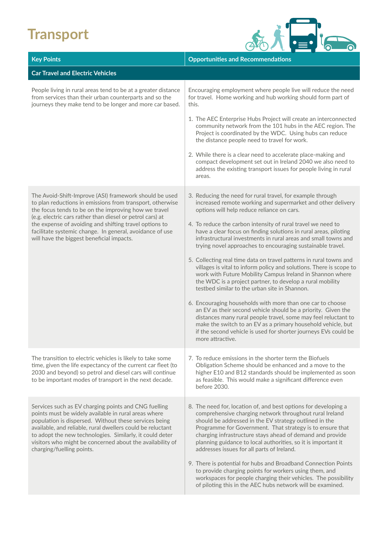#### **Transport**



| <b>Key Points</b>                                                                                                                                                                                                                                                                                                                                                                                           | <b>Opportunities and Recommendations</b>                                                                                                                                                                                                                                                                                                                                                                                      |
|-------------------------------------------------------------------------------------------------------------------------------------------------------------------------------------------------------------------------------------------------------------------------------------------------------------------------------------------------------------------------------------------------------------|-------------------------------------------------------------------------------------------------------------------------------------------------------------------------------------------------------------------------------------------------------------------------------------------------------------------------------------------------------------------------------------------------------------------------------|
| <b>Car Travel and Electric Vehicles</b>                                                                                                                                                                                                                                                                                                                                                                     |                                                                                                                                                                                                                                                                                                                                                                                                                               |
| People living in rural areas tend to be at a greater distance<br>from services than their urban counterparts and so the<br>journeys they make tend to be longer and more car based.                                                                                                                                                                                                                         | Encouraging employment where people live will reduce the need<br>for travel. Home working and hub working should form part of<br>this.                                                                                                                                                                                                                                                                                        |
|                                                                                                                                                                                                                                                                                                                                                                                                             | 1. The AEC Enterprise Hubs Project will create an interconnected<br>community network from the 101 hubs in the AEC region. The<br>Project is coordinated by the WDC. Using hubs can reduce<br>the distance people need to travel for work.                                                                                                                                                                                    |
|                                                                                                                                                                                                                                                                                                                                                                                                             | 2. While there is a clear need to accelerate place-making and<br>compact development set out in Ireland 2040 we also need to<br>address the existing transport issues for people living in rural<br>areas.                                                                                                                                                                                                                    |
| The Avoid-Shift-Improve (ASI) framework should be used<br>to plan reductions in emissions from transport, otherwise<br>the focus tends to be on the improving how we travel<br>(e.g. electric cars rather than diesel or petrol cars) at<br>the expense of avoiding and shifting travel options to<br>facilitate systemic change. In general, avoidance of use<br>will have the biggest beneficial impacts. | 3. Reducing the need for rural travel, for example through<br>increased remote working and supermarket and other delivery<br>options will help reduce reliance on cars.                                                                                                                                                                                                                                                       |
|                                                                                                                                                                                                                                                                                                                                                                                                             | 4. To reduce the carbon intensity of rural travel we need to<br>have a clear focus on finding solutions in rural areas, piloting<br>infrastructural investments in rural areas and small towns and<br>trying novel approaches to encouraging sustainable travel.                                                                                                                                                              |
|                                                                                                                                                                                                                                                                                                                                                                                                             | 5. Collecting real time data on travel patterns in rural towns and<br>villages is vital to inform policy and solutions. There is scope to<br>work with Future Mobility Campus Ireland in Shannon where<br>the WDC is a project partner, to develop a rural mobility<br>testbed similar to the urban site in Shannon.                                                                                                          |
|                                                                                                                                                                                                                                                                                                                                                                                                             | 6. Encouraging households with more than one car to choose<br>an EV as their second vehicle should be a priority. Given the<br>distances many rural people travel, some may feel reluctant to<br>make the switch to an EV as a primary household vehicle, but<br>if the second vehicle is used for shorter journeys EVs could be<br>more attractive.                                                                          |
| The transition to electric vehicles is likely to take some<br>time, given the life expectancy of the current car fleet (to<br>2030 and beyond) so petrol and diesel cars will continue<br>to be important modes of transport in the next decade.                                                                                                                                                            | 7. To reduce emissions in the shorter term the Biofuels<br>Obligation Scheme should be enhanced and a move to the<br>higher E10 and B12 standards should be implemented as soon<br>as feasible. This would make a significant difference even<br>before 2030.                                                                                                                                                                 |
| Services such as EV charging points and CNG fuelling<br>points must be widely available in rural areas where<br>population is dispersed. Without these services being<br>available, and reliable, rural dwellers could be reluctant<br>to adopt the new technologies. Similarly, it could deter<br>visitors who might be concerned about the availability of<br>charging/fuelling points.                   | 8. The need for, location of, and best options for developing a<br>comprehensive charging network throughout rural Ireland<br>should be addressed in the EV strategy outlined in the<br>Programme for Government. That strategy is to ensure that<br>charging infrastructure stays ahead of demand and provide<br>planning guidance to local authorities, so it is important it<br>addresses issues for all parts of Ireland. |
|                                                                                                                                                                                                                                                                                                                                                                                                             | 9. There is potential for hubs and Broadband Connection Points<br>to provide charging points for workers using them, and<br>workspaces for people charging their vehicles. The possibility<br>of piloting this in the AEC hubs network will be examined.                                                                                                                                                                      |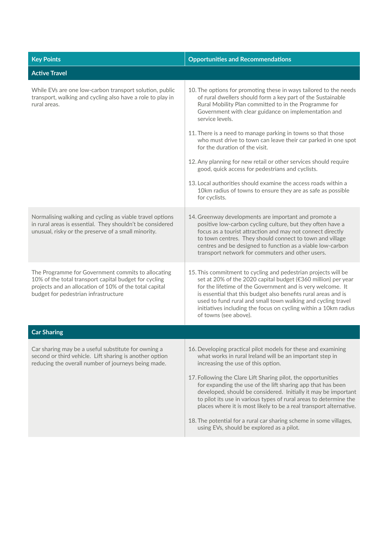| <b>Key Points</b>                                                                                                                                                                                             | <b>Opportunities and Recommendations</b>                                                                                                                                                                                                                                                                                                                                                                                                                                                                                                                                                                                                                                                                          |
|---------------------------------------------------------------------------------------------------------------------------------------------------------------------------------------------------------------|-------------------------------------------------------------------------------------------------------------------------------------------------------------------------------------------------------------------------------------------------------------------------------------------------------------------------------------------------------------------------------------------------------------------------------------------------------------------------------------------------------------------------------------------------------------------------------------------------------------------------------------------------------------------------------------------------------------------|
| <b>Active Travel</b>                                                                                                                                                                                          |                                                                                                                                                                                                                                                                                                                                                                                                                                                                                                                                                                                                                                                                                                                   |
| While EVs are one low-carbon transport solution, public<br>transport, walking and cycling also have a role to play in<br>rural areas.                                                                         | 10. The options for promoting these in ways tailored to the needs<br>of rural dwellers should form a key part of the Sustainable<br>Rural Mobility Plan committed to in the Programme for<br>Government with clear guidance on implementation and<br>service levels.<br>11. There is a need to manage parking in towns so that those<br>who must drive to town can leave their car parked in one spot<br>for the duration of the visit.<br>12. Any planning for new retail or other services should require<br>good, quick access for pedestrians and cyclists.<br>13. Local authorities should examine the access roads within a<br>10km radius of towns to ensure they are as safe as possible<br>for cyclists. |
| Normalising walking and cycling as viable travel options<br>in rural areas is essential. They shouldn't be considered<br>unusual, risky or the preserve of a small minority.                                  | 14. Greenway developments are important and promote a<br>positive low-carbon cycling culture, but they often have a<br>focus as a tourist attraction and may not connect directly<br>to town centres. They should connect to town and village<br>centres and be designed to function as a viable low-carbon<br>transport network for commuters and other users.                                                                                                                                                                                                                                                                                                                                                   |
| The Programme for Government commits to allocating<br>10% of the total transport capital budget for cycling<br>projects and an allocation of 10% of the total capital<br>budget for pedestrian infrastructure | 15. This commitment to cycling and pedestrian projects will be<br>set at 20% of the 2020 capital budget (€360 million) per year<br>for the lifetime of the Government and is very welcome. It<br>is essential that this budget also benefits rural areas and is<br>used to fund rural and small town walking and cycling travel<br>initiatives including the focus on cycling within a 10km radius<br>of towns (see above).                                                                                                                                                                                                                                                                                       |
| <b>Car Sharing</b>                                                                                                                                                                                            |                                                                                                                                                                                                                                                                                                                                                                                                                                                                                                                                                                                                                                                                                                                   |
| Car sharing may be a useful substitute for owning a<br>second or third vehicle. Lift sharing is another option<br>reducing the overall number of journeys being made.                                         | 16. Developing practical pilot models for these and examining<br>what works in rural Ireland will be an important step in<br>increasing the use of this option.<br>17. Following the Clare Lift Sharing pilot, the opportunities<br>for expanding the use of the lift sharing app that has been<br>developed, should be considered. Initially it may be important<br>to pilot its use in various types of rural areas to determine the<br>places where it is most likely to be a real transport alternative.<br>18. The potential for a rural car sharing scheme in some villages,<br>using EVs, should be explored as a pilot.                                                                                   |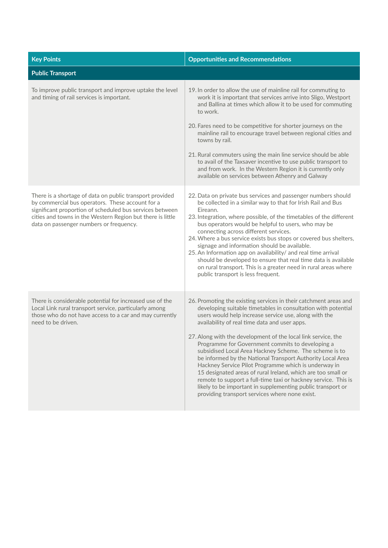| <b>Key Points</b>                                                                                                                                                                                                                                                                 | <b>Opportunities and Recommendations</b>                                                                                                                                                                                                                                                                                                                                                                                                                                                                                                                                                                                                                                                                                                                                                            |
|-----------------------------------------------------------------------------------------------------------------------------------------------------------------------------------------------------------------------------------------------------------------------------------|-----------------------------------------------------------------------------------------------------------------------------------------------------------------------------------------------------------------------------------------------------------------------------------------------------------------------------------------------------------------------------------------------------------------------------------------------------------------------------------------------------------------------------------------------------------------------------------------------------------------------------------------------------------------------------------------------------------------------------------------------------------------------------------------------------|
| <b>Public Transport</b>                                                                                                                                                                                                                                                           |                                                                                                                                                                                                                                                                                                                                                                                                                                                                                                                                                                                                                                                                                                                                                                                                     |
| To improve public transport and improve uptake the level<br>and timing of rail services is important.                                                                                                                                                                             | 19. In order to allow the use of mainline rail for commuting to<br>work it is important that services arrive into Sligo, Westport<br>and Ballina at times which allow it to be used for commuting<br>to work.<br>20. Fares need to be competitive for shorter journeys on the<br>mainline rail to encourage travel between regional cities and<br>towns by rail.<br>21. Rural commuters using the main line service should be able<br>to avail of the Taxsaver incentive to use public transport to<br>and from work. In the Western Region it is currently only<br>available on services between Athenry and Galway                                                                                                                                                                                |
| There is a shortage of data on public transport provided<br>by commercial bus operators. These account for a<br>significant proportion of scheduled bus services between<br>cities and towns in the Western Region but there is little<br>data on passenger numbers or frequency. | 22. Data on private bus services and passenger numbers should<br>be collected in a similar way to that for Irish Rail and Bus<br>Eireann.<br>23. Integration, where possible, of the timetables of the different<br>bus operators would be helpful to users, who may be<br>connecting across different services.<br>24. Where a bus service exists bus stops or covered bus shelters,<br>signage and information should be available.<br>25. An Information app on availability/ and real time arrival<br>should be developed to ensure that real time data is available<br>on rural transport. This is a greater need in rural areas where<br>public transport is less frequent.                                                                                                                   |
| There is considerable potential for increased use of the<br>Local Link rural transport service, particularly among<br>those who do not have access to a car and may currently<br>need to be driven.                                                                               | 26. Promoting the existing services in their catchment areas and<br>developing suitable timetables in consultation with potential<br>users would help increase service use, along with the<br>availability of real time data and user apps.<br>27. Along with the development of the local link service, the<br>Programme for Government commits to developing a<br>subsidised Local Area Hackney Scheme. The scheme is to<br>be informed by the National Transport Authority Local Area<br>Hackney Service Pilot Programme which is underway in<br>15 designated areas of rural Ireland, which are too small or<br>remote to support a full-time taxi or hackney service. This is<br>likely to be important in supplementing public transport or<br>providing transport services where none exist. |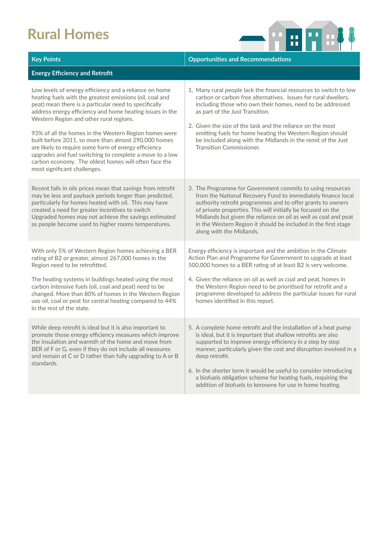### **Rural Homes**



| <b>Key Points</b>                                                                                                                                                                                                                                                                                                                                                                                                                                                                                                                                                                                              | <b>Opportunities and Recommendations</b>                                                                                                                                                                                                                                                                                                                                                                                                                                              |
|----------------------------------------------------------------------------------------------------------------------------------------------------------------------------------------------------------------------------------------------------------------------------------------------------------------------------------------------------------------------------------------------------------------------------------------------------------------------------------------------------------------------------------------------------------------------------------------------------------------|---------------------------------------------------------------------------------------------------------------------------------------------------------------------------------------------------------------------------------------------------------------------------------------------------------------------------------------------------------------------------------------------------------------------------------------------------------------------------------------|
| <b>Energy Efficiency and Retrofit</b>                                                                                                                                                                                                                                                                                                                                                                                                                                                                                                                                                                          |                                                                                                                                                                                                                                                                                                                                                                                                                                                                                       |
| Low levels of energy efficiency and a reliance on home<br>heating fuels with the greatest emissions (oil, coal and<br>peat) mean there is a particular need to specifically<br>address energy efficiency and home heating issues in the<br>Western Region and other rural regions.<br>93% of all the homes in the Western Region homes were<br>built before 2011, so more than almost 290,000 homes<br>are likely to require some form of energy efficiency<br>upgrades and fuel switching to complete a move to a low<br>carbon economy. The oldest homes will often face the<br>most significant challenges. | 1. Many rural people lack the financial resources to switch to low<br>carbon or carbon free alternatives. Issues for rural dwellers,<br>including those who own their homes, need to be addressed<br>as part of the Just Transition.<br>2. Given the size of the task and the reliance on the most<br>emitting fuels for home heating the Western Region should<br>be included along with the Midlands in the remit of the Just<br>Transition Commissioner.                           |
| Recent falls in oils prices mean that savings from retrofit<br>may be less and payback periods longer than predicted,<br>particularly for homes heated with oil. This may have<br>created a need for greater incentives to switch<br>Upgraded homes may not achieve the savings estimated<br>as people become used to higher rooms temperatures.                                                                                                                                                                                                                                                               | 3. The Programme for Government commits to using resources<br>from the National Recovery Fund to immediately finance local<br>authority retrofit programmes and to offer grants to owners<br>of private properties. This will initially be focused on the<br>Midlands but given the reliance on oil as well as coal and peat<br>in the Western Region it should be included in the first stage<br>along with the Midlands.                                                            |
| With only 5% of Western Region homes achieving a BER<br>rating of B2 or greater, almost 267,000 homes in the<br>Region need to be retrofitted.<br>The heating systems in buildings heated using the most<br>carbon intensive fuels (oil, coal and peat) need to be<br>changed. More than 80% of homes in the Western Region<br>use oil, coal or peat for central heating compared to 44%<br>in the rest of the state.                                                                                                                                                                                          | Energy efficiency is important and the ambition in the Climate<br>Action Plan and Programme for Government to upgrade at least<br>500,000 homes to a BER rating of at least B2 is very welcome.<br>4. Given the reliance on oil as well as coal and peat, homes in<br>the Western Region need to be prioritised for retrofit and a<br>programme developed to address the particular issues for rural<br>homes identified in this report.                                              |
| While deep retrofit is ideal but it is also important to<br>promote those energy efficiency measures which improve<br>the insulation and warmth of the home and move from<br>BER of F or G, even if they do not include all measures<br>and remain at C or D rather than fully upgrading to A or B<br>standards.                                                                                                                                                                                                                                                                                               | 5. A complete home retrofit and the installation of a heat pump<br>is ideal, but it is important that shallow retrofits are also<br>supported to improve energy efficiency in a step by step<br>manner, particularly given the cost and disruption involved in a<br>deep retrofit.<br>6. In the shorter term it would be useful to consider introducing<br>a biofuels obligation scheme for heating fuels, requiring the<br>addition of biofuels to kerosene for use in home heating. |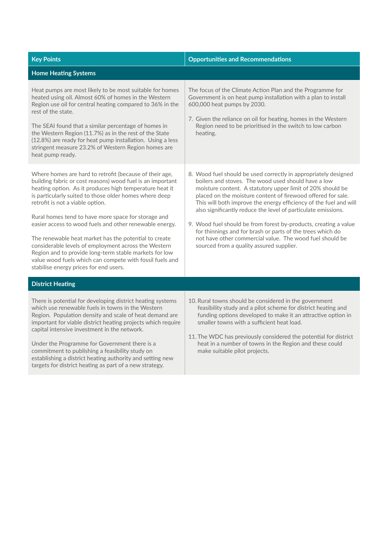| <b>Key Points</b>                                                                                                                                                                                                                                                                                                                                                                                                                                                                                                                                                                                                                                                                 | <b>Opportunities and Recommendations</b>                                                                                                                                                                                                                                                                                                                                                                                                                                                                                                                                                                                             |
|-----------------------------------------------------------------------------------------------------------------------------------------------------------------------------------------------------------------------------------------------------------------------------------------------------------------------------------------------------------------------------------------------------------------------------------------------------------------------------------------------------------------------------------------------------------------------------------------------------------------------------------------------------------------------------------|--------------------------------------------------------------------------------------------------------------------------------------------------------------------------------------------------------------------------------------------------------------------------------------------------------------------------------------------------------------------------------------------------------------------------------------------------------------------------------------------------------------------------------------------------------------------------------------------------------------------------------------|
| <b>Home Heating Systems</b>                                                                                                                                                                                                                                                                                                                                                                                                                                                                                                                                                                                                                                                       |                                                                                                                                                                                                                                                                                                                                                                                                                                                                                                                                                                                                                                      |
| Heat pumps are most likely to be most suitable for homes<br>heated using oil. Almost 60% of homes in the Western<br>Region use oil for central heating compared to 36% in the<br>rest of the state.<br>The SEAI found that a similar percentage of homes in<br>the Western Region (11.7%) as in the rest of the State<br>(12.8%) are ready for heat pump installation. Using a less<br>stringent measure 23.2% of Western Region homes are<br>heat pump ready.                                                                                                                                                                                                                    | The focus of the Climate Action Plan and the Programme for<br>Government is on heat pump installation with a plan to install<br>600,000 heat pumps by 2030.<br>7. Given the reliance on oil for heating, homes in the Western<br>Region need to be prioritised in the switch to low carbon<br>heating.                                                                                                                                                                                                                                                                                                                               |
| Where homes are hard to retrofit (because of their age,<br>building fabric or cost reasons) wood fuel is an important<br>heating option. As it produces high temperature heat it<br>is particularly suited to those older homes where deep<br>retrofit is not a viable option.<br>Rural homes tend to have more space for storage and<br>easier access to wood fuels and other renewable energy.<br>The renewable heat market has the potential to create<br>considerable levels of employment across the Western<br>Region and to provide long-term stable markets for low<br>value wood fuels which can compete with fossil fuels and<br>stabilise energy prices for end users. | 8. Wood fuel should be used correctly in appropriately designed<br>boilers and stoves. The wood used should have a low<br>moisture content. A statutory upper limit of 20% should be<br>placed on the moisture content of firewood offered for sale.<br>This will both improve the energy efficiency of the fuel and will<br>also significantly reduce the level of particulate emissions.<br>9. Wood fuel should be from forest by-products, creating a value<br>for thinnings and for brash or parts of the trees which do<br>not have other commercial value. The wood fuel should be<br>sourced from a quality assured supplier. |
| <b>District Heating</b>                                                                                                                                                                                                                                                                                                                                                                                                                                                                                                                                                                                                                                                           |                                                                                                                                                                                                                                                                                                                                                                                                                                                                                                                                                                                                                                      |
| There is potential for developing district heating systems<br>which use renewable fuels in towns in the Western<br>Region. Population density and scale of heat demand are<br>important for viable district heating projects which require<br>capital intensive investment in the network.<br>Under the Programme for Government there is a<br>commitment to publishing a feasibility study on<br>establishing a district heating authority and setting new                                                                                                                                                                                                                       | 10. Rural towns should be considered in the government<br>feasibility study and a pilot scheme for district heating and<br>funding options developed to make it an attractive option in<br>smaller towns with a sufficient heat load.<br>11. The WDC has previously considered the potential for district<br>heat in a number of towns in the Region and these could<br>make suitable pilot projects.                                                                                                                                                                                                                                |

targets for district heating as part of a new strategy.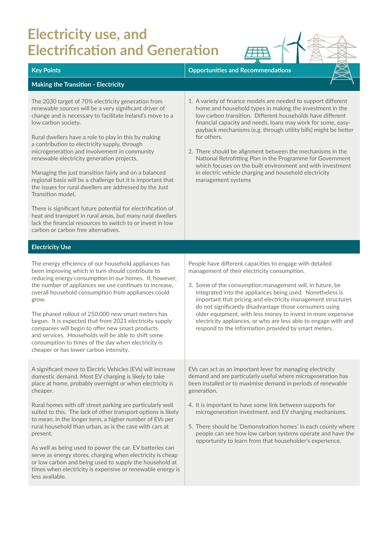## **Electricity use, and**  Electrification and Generation **FRA**

| <b>Key Points</b>                                                                                                                                                                                                                                                                                                                                                                                                                                                                                                                                                                                                                                                                                                                                                                                                                                  | <b>Opportunities and Recommendations</b>                                                                                                                                                                                                                                                                                                                                                                                                                                                                                                                                                                             |
|----------------------------------------------------------------------------------------------------------------------------------------------------------------------------------------------------------------------------------------------------------------------------------------------------------------------------------------------------------------------------------------------------------------------------------------------------------------------------------------------------------------------------------------------------------------------------------------------------------------------------------------------------------------------------------------------------------------------------------------------------------------------------------------------------------------------------------------------------|----------------------------------------------------------------------------------------------------------------------------------------------------------------------------------------------------------------------------------------------------------------------------------------------------------------------------------------------------------------------------------------------------------------------------------------------------------------------------------------------------------------------------------------------------------------------------------------------------------------------|
| <b>Making the Transition - Electricity</b>                                                                                                                                                                                                                                                                                                                                                                                                                                                                                                                                                                                                                                                                                                                                                                                                         |                                                                                                                                                                                                                                                                                                                                                                                                                                                                                                                                                                                                                      |
| The 2030 target of 70% electricity generation from<br>renewable sources will be a very significant driver of<br>change and is necessary to facilitate Ireland's move to a<br>low carbon society.<br>Rural dwellers have a role to play in this by making<br>a contribution to electricity supply, through<br>microgeneration and involvement in community<br>renewable electricity generation projects.<br>Managing the just transition fairly and on a balanced<br>regional basis will be a challenge but it is important that<br>the issues for rural dwellers are addressed by the Just<br>Transition model.<br>There is significant future potential for electrification of<br>heat and transport in rural areas, but many rural dwellers<br>lack the financial resources to switch to or invest in low<br>carbon or carbon free alternatives. | 1. A variety of finance models are needed to support different<br>home and household types in making the investment in the<br>low carbon transition. Different households have different<br>financial capacity and needs, loans may work for some, easy-<br>payback mechanisms (e.g. through utility bills) might be better<br>for others.<br>2. There should be alignment between the mechanisms in the<br>National Retrofitting Plan in the Programme for Government<br>which focuses on the built environment and with investment<br>in electric vehicle charging and household electricity<br>management systems |
| <b>Electricity Use</b>                                                                                                                                                                                                                                                                                                                                                                                                                                                                                                                                                                                                                                                                                                                                                                                                                             |                                                                                                                                                                                                                                                                                                                                                                                                                                                                                                                                                                                                                      |
| The energy efficiency of our household appliances has<br>been improving which in turn should contribute to<br>reducing energy consumption in our homes. If, however,<br>the number of appliances we use continues to increase,<br>overall household consumption from appliances could<br>grow.<br>The phased rollout of 250,000 new smart meters has<br>begun. It is expected that from 2021 electricity supply<br>companies will begin to offer new smart products<br>and services. Households will be able to shift some<br>consumption to times of the day when electricity is<br>cheaper or has lower carbon intensity.                                                                                                                                                                                                                        | People have different capacities to engage with detailed<br>management of their electricity consumption.<br>3. Some of the consumption management will, in future, be<br>integrated into the appliances being used. Nonetheless is<br>important that pricing and electricity management structures<br>do not significantly disadvantage those consumers using<br>older equipment, with less money to invest in more expensive<br>electricity appliances, or who are less able to engage with and<br>respond to the information provided by smart meters.                                                             |
| A significant move to Electric Vehicles (EVs) will increase<br>domestic demand. Most EV charging is likely to take<br>place at home, probably overnight or when electricity is<br>cheaper.                                                                                                                                                                                                                                                                                                                                                                                                                                                                                                                                                                                                                                                         | EVs can act as an important lever for managing electricity<br>demand and are particularly useful where microgeneration has<br>been installed or to maximise demand in periods of renewable<br>generation.                                                                                                                                                                                                                                                                                                                                                                                                            |
| Rural homes with off street parking are particularly well<br>suited to this. The lack of other transport options is likely<br>to mean, in the longer term, a higher number of EVs per<br>rural household than urban, as is the case with cars at<br>present.                                                                                                                                                                                                                                                                                                                                                                                                                                                                                                                                                                                       | 4. It is important to have some link between supports for<br>microgeneration investment, and EV charging mechanisms.<br>5. There should be 'Demonstration homes' in each county where<br>people can see how low carbon systems operate and have the                                                                                                                                                                                                                                                                                                                                                                  |

As well as being used to power the car, EV batteries can serve as energy stores, charging when electricity is cheap or low carbon and being used to supply the household at times when electricity is expensive or renewable energy is less available.

opportunity to learn from that householder's experience.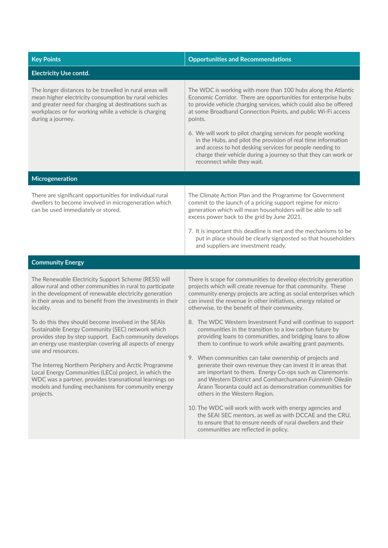| <b>Key Points</b>                                                                                                                                                                                                                                        | <b>Opportunities and Recommendations</b>                                                                                                                                                                                                                                                                                |
|----------------------------------------------------------------------------------------------------------------------------------------------------------------------------------------------------------------------------------------------------------|-------------------------------------------------------------------------------------------------------------------------------------------------------------------------------------------------------------------------------------------------------------------------------------------------------------------------|
| <b>Electricity Use contd.</b>                                                                                                                                                                                                                            |                                                                                                                                                                                                                                                                                                                         |
| The longer distances to be travelled in rural areas will<br>mean higher electricity consumption by rural vehicles<br>and greater need for charging at destinations such as<br>workplaces or for working while a vehicle is charging<br>during a journey. | The WDC is working with more than 100 hubs along the Atlantic<br>Economic Corridor. There are opportunities for enterprise hubs<br>to provide vehicle charging services, which could also be offered<br>at some Broadband Connection Points, and public Wi-Fi access<br>points.                                         |
|                                                                                                                                                                                                                                                          | 6. We will work to pilot charging services for people working<br>in the Hubs, and pilot the provision of real time information<br>and access to hot desking services for people needing to<br>charge their vehicle during a journey so that they can work or<br>reconnect while they wait.                              |
| Microgeneration                                                                                                                                                                                                                                          |                                                                                                                                                                                                                                                                                                                         |
| There are significant opportunities for individual rural<br>dwellers to become involved in microgeneration which<br>can be used immediately or stored.                                                                                                   | The Climate Action Plan and the Programme for Government<br>commit to the launch of a pricing support regime for micro-<br>generation which will mean householders will be able to sell<br>excess power back to the grid by June 2021.<br>7. It is important this deadline is met and the mechanisms to be              |
|                                                                                                                                                                                                                                                          | put in place should be clearly signposted so that householders<br>and suppliers are investment ready.                                                                                                                                                                                                                   |
| <b>Community Energy</b>                                                                                                                                                                                                                                  |                                                                                                                                                                                                                                                                                                                         |
| The Renewable Electricity Support Scheme (RESS) will<br>allow rural and other communities in rural to participate<br>in the development of renewable electricity generation<br>in their areas and to benefit from the investments in their<br>locality.  | There is scope for communities to develop electricity generation<br>projects which will create revenue for that community. These<br>community energy projects are acting as social enterprises which<br>can invest the revenue in other initiatives, energy related or<br>otherwise, to the benefit of their community. |
| To do this they should become involved in the SEAIs<br>Sustainable Energy Community (SEC) network which<br>provides step by step support. Each community develops<br>an energy use masterplan covering all aspects of energy<br>use and resources.       | 8. The WDC Western Investment Fund will continue to support<br>communities in the transition to a low carbon future by<br>providing loans to communities, and bridging loans to allow<br>them to continue to work while awaiting grant payments.<br>9. When communities can take ownership of projects and              |
| The Interreg Northern Periphery and Arctic Programme<br>Local Energy Communities (LECo) project, in which the<br>WDC was a partner, provides transnational learnings on<br>models and funding mechanisms for community energy<br>projects.               | generate their own revenue they can invest it in areas that<br>are important to them. Energy Co-ops such as Claremorris<br>and Western District and Comharchumann Fuinnimh Oileáin<br>Arann Teoranta could act as demonstration communities for<br>others in the Western Region.                                        |
|                                                                                                                                                                                                                                                          | 10. The WDC will work with work with energy agencies and<br>the SEAI SEC mentors, as well as with DCCAE and the CRU,<br>to ensure that to ensure needs of rural dwellers and their<br>communities are reflected in policy.                                                                                              |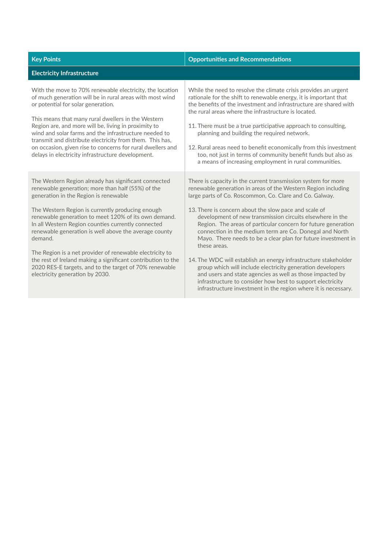| <b>Key Points</b>                                                                                                                                                                                                                                                                                                                                                                                                                                                                                                                                                                                                 | <b>Opportunities and Recommendations</b>                                                                                                                                                                                                                                                                                                                                                                                                                                                                                                                                                                                                                                                                                                                                                                                                                   |
|-------------------------------------------------------------------------------------------------------------------------------------------------------------------------------------------------------------------------------------------------------------------------------------------------------------------------------------------------------------------------------------------------------------------------------------------------------------------------------------------------------------------------------------------------------------------------------------------------------------------|------------------------------------------------------------------------------------------------------------------------------------------------------------------------------------------------------------------------------------------------------------------------------------------------------------------------------------------------------------------------------------------------------------------------------------------------------------------------------------------------------------------------------------------------------------------------------------------------------------------------------------------------------------------------------------------------------------------------------------------------------------------------------------------------------------------------------------------------------------|
| <b>Electricity Infrastructure</b>                                                                                                                                                                                                                                                                                                                                                                                                                                                                                                                                                                                 |                                                                                                                                                                                                                                                                                                                                                                                                                                                                                                                                                                                                                                                                                                                                                                                                                                                            |
| With the move to 70% renewable electricity, the location<br>of much generation will be in rural areas with most wind<br>or potential for solar generation.<br>This means that many rural dwellers in the Western<br>Region are, and more will be, living in proximity to<br>wind and solar farms and the infrastructure needed to<br>transmit and distribute electricity from them. This has,<br>on occasion, given rise to concerns for rural dwellers and<br>delays in electricity infrastructure development.                                                                                                  | While the need to resolve the climate crisis provides an urgent<br>rationale for the shift to renewable energy, it is important that<br>the benefits of the investment and infrastructure are shared with<br>the rural areas where the infrastructure is located.<br>11. There must be a true participative approach to consulting,<br>planning and building the required network.<br>12. Rural areas need to benefit economically from this investment<br>too, not just in terms of community benefit funds but also as<br>a means of increasing employment in rural communities.                                                                                                                                                                                                                                                                         |
| The Western Region already has significant connected<br>renewable generation; more than half (55%) of the<br>generation in the Region is renewable<br>The Western Region is currently producing enough<br>renewable generation to meet 120% of its own demand.<br>In all Western Region counties currently connected<br>renewable generation is well above the average county<br>demand.<br>The Region is a net provider of renewable electricity to<br>the rest of Ireland making a significant contribution to the<br>2020 RES-E targets, and to the target of 70% renewable<br>electricity generation by 2030. | There is capacity in the current transmission system for more<br>renewable generation in areas of the Western Region including<br>large parts of Co. Roscommon, Co. Clare and Co. Galway.<br>13. There is concern about the slow pace and scale of<br>development of new transmission circuits elsewhere in the<br>Region. The areas of particular concern for future generation<br>connection in the medium term are Co. Donegal and North<br>Mayo. There needs to be a clear plan for future investment in<br>these areas.<br>14. The WDC will establish an energy infrastructure stakeholder<br>group which will include electricity generation developers<br>and users and state agencies as well as those impacted by<br>infrastructure to consider how best to support electricity<br>infrastructure investment in the region where it is necessary. |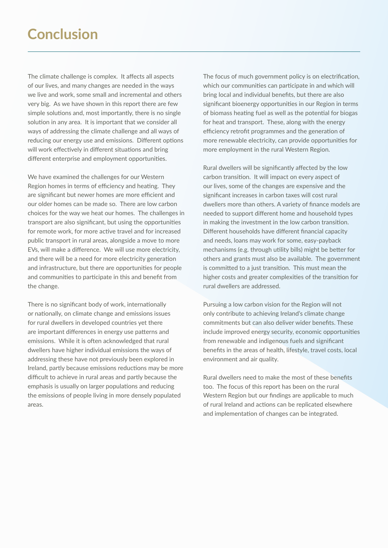#### **Conclusion**

The climate challenge is complex. It affects all aspects of our lives, and many changes are needed in the ways we live and work, some small and incremental and others very big. As we have shown in this report there are few simple solutions and, most importantly, there is no single solution in any area. It is important that we consider all ways of addressing the climate challenge and all ways of reducing our energy use and emissions. Different options will work effectively in different situations and bring different enterprise and employment opportunities.

We have examined the challenges for our Western Region homes in terms of efficiency and heating. They are significant but newer homes are more efficient and our older homes can be made so. There are low carbon choices for the way we heat our homes. The challenges in transport are also significant, but using the opportunities for remote work, for more active travel and for increased public transport in rural areas, alongside a move to more EVs, will make a difference. We will use more electricity, and there will be a need for more electricity generation and infrastructure, but there are opportunities for people and communities to participate in this and benefit from the change.

There is no significant body of work, internationally or nationally, on climate change and emissions issues for rural dwellers in developed countries yet there are important differences in energy use patterns and emissions. While it is often acknowledged that rural dwellers have higher individual emissions the ways of addressing these have not previously been explored in Ireland, partly because emissions reductions may be more difficult to achieve in rural areas and partly because the emphasis is usually on larger populations and reducing the emissions of people living in more densely populated areas.

The focus of much government policy is on electrification, which our communities can participate in and which will bring local and individual benefits, but there are also significant bioenergy opportunities in our Region in terms of biomass heating fuel as well as the potential for biogas for heat and transport. These, along with the energy efficiency retrofit programmes and the generation of more renewable electricity, can provide opportunities for more employment in the rural Western Region.

Rural dwellers will be significantly affected by the low carbon transition. It will impact on every aspect of our lives, some of the changes are expensive and the significant increases in carbon taxes will cost rural dwellers more than others. A variety of finance models are needed to support different home and household types in making the investment in the low carbon transition. Different households have different financial capacity and needs, loans may work for some, easy-payback mechanisms (e.g. through utility bills) might be better for others and grants must also be available. The government is committed to a just transition. This must mean the higher costs and greater complexities of the transition for rural dwellers are addressed.

Pursuing a low carbon vision for the Region will not only contribute to achieving Ireland's climate change commitments but can also deliver wider benefits. These include improved energy security, economic opportunities from renewable and indigenous fuels and significant benefits in the areas of health, lifestyle, travel costs, local environment and air quality.

Rural dwellers need to make the most of these benefits too. The focus of this report has been on the rural Western Region but our findings are applicable to much of rural Ireland and actions can be replicated elsewhere and implementation of changes can be integrated.